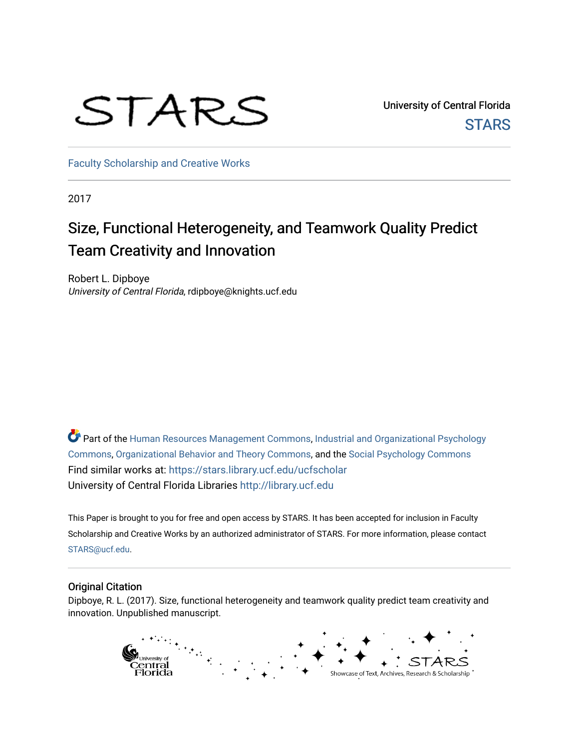# STARS

University of Central Florida **STARS** 

[Faculty Scholarship and Creative Works](https://stars.library.ucf.edu/ucfscholar) 

2017

# Size, Functional Heterogeneity, and Teamwork Quality Predict Team Creativity and Innovation

Robert L. Dipboye University of Central Florida, rdipboye@knights.ucf.edu

 $\bullet$  Part of the [Human Resources Management Commons,](http://network.bepress.com/hgg/discipline/633?utm_source=stars.library.ucf.edu%2Fucfscholar%2F635&utm_medium=PDF&utm_campaign=PDFCoverPages) [Industrial and Organizational Psychology](http://network.bepress.com/hgg/discipline/412?utm_source=stars.library.ucf.edu%2Fucfscholar%2F635&utm_medium=PDF&utm_campaign=PDFCoverPages) [Commons](http://network.bepress.com/hgg/discipline/412?utm_source=stars.library.ucf.edu%2Fucfscholar%2F635&utm_medium=PDF&utm_campaign=PDFCoverPages), [Organizational Behavior and Theory Commons,](http://network.bepress.com/hgg/discipline/639?utm_source=stars.library.ucf.edu%2Fucfscholar%2F635&utm_medium=PDF&utm_campaign=PDFCoverPages) and the [Social Psychology Commons](http://network.bepress.com/hgg/discipline/414?utm_source=stars.library.ucf.edu%2Fucfscholar%2F635&utm_medium=PDF&utm_campaign=PDFCoverPages) Find similar works at: <https://stars.library.ucf.edu/ucfscholar> University of Central Florida Libraries [http://library.ucf.edu](http://library.ucf.edu/) 

This Paper is brought to you for free and open access by STARS. It has been accepted for inclusion in Faculty Scholarship and Creative Works by an authorized administrator of STARS. For more information, please contact [STARS@ucf.edu](mailto:STARS@ucf.edu).

# Original Citation

Dipboye, R. L. (2017). Size, functional heterogeneity and teamwork quality predict team creativity and innovation. Unpublished manuscript.

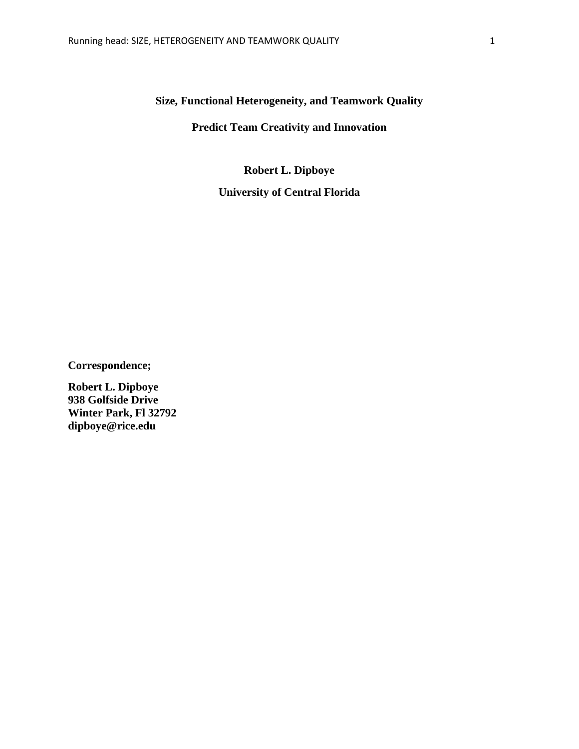# **Size, Functional Heterogeneity, and Teamwork Quality**

# **Predict Team Creativity and Innovation**

**Robert L. Dipboye University of Central Florida**

**Correspondence;**

**Robert L. Dipboye 938 Golfside Drive Winter Park, Fl 32792 dipboye@rice.edu**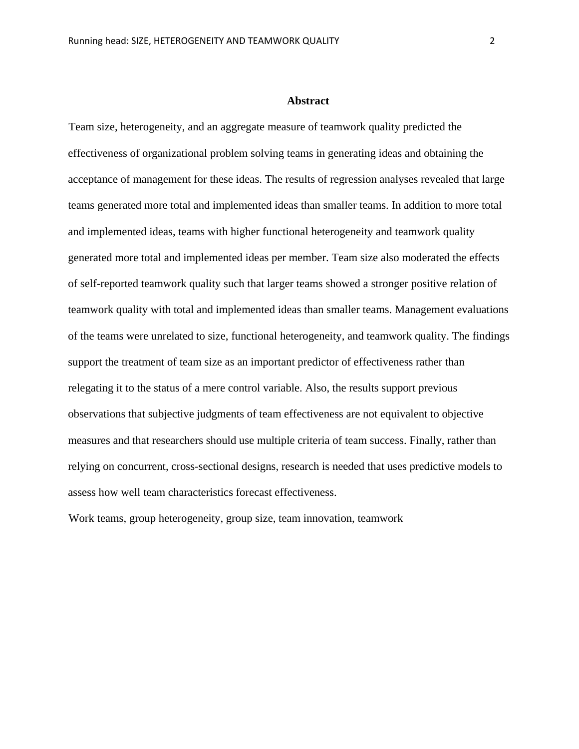#### **Abstract**

Team size, heterogeneity, and an aggregate measure of teamwork quality predicted the effectiveness of organizational problem solving teams in generating ideas and obtaining the acceptance of management for these ideas. The results of regression analyses revealed that large teams generated more total and implemented ideas than smaller teams. In addition to more total and implemented ideas, teams with higher functional heterogeneity and teamwork quality generated more total and implemented ideas per member. Team size also moderated the effects of self-reported teamwork quality such that larger teams showed a stronger positive relation of teamwork quality with total and implemented ideas than smaller teams. Management evaluations of the teams were unrelated to size, functional heterogeneity, and teamwork quality. The findings support the treatment of team size as an important predictor of effectiveness rather than relegating it to the status of a mere control variable. Also, the results support previous observations that subjective judgments of team effectiveness are not equivalent to objective measures and that researchers should use multiple criteria of team success. Finally, rather than relying on concurrent, cross-sectional designs, research is needed that uses predictive models to assess how well team characteristics forecast effectiveness.

Work teams, group heterogeneity, group size, team innovation, teamwork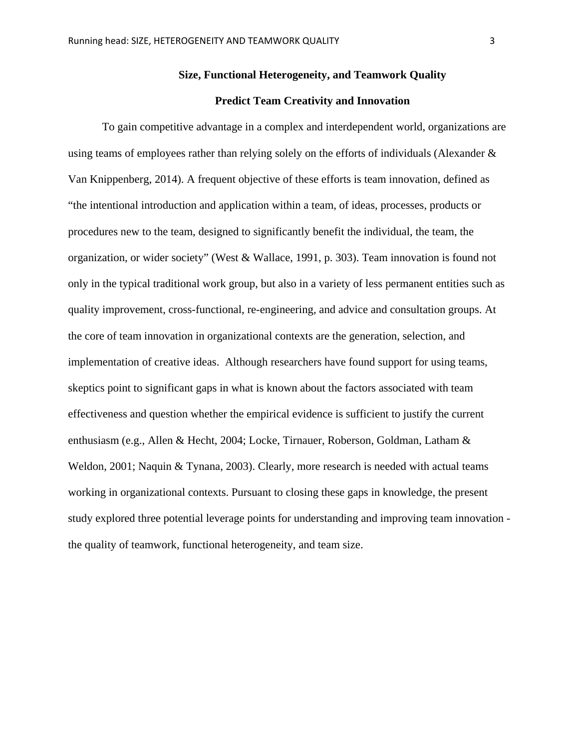# **Size, Functional Heterogeneity, and Teamwork Quality**

# **Predict Team Creativity and Innovation**

To gain competitive advantage in a complex and interdependent world, organizations are using teams of employees rather than relying solely on the efforts of individuals (Alexander  $\&$ Van Knippenberg, 2014). A frequent objective of these efforts is team innovation, defined as "the intentional introduction and application within a team, of ideas, processes, products or procedures new to the team, designed to significantly benefit the individual, the team, the organization, or wider society" (West & Wallace, 1991, p. 303). Team innovation is found not only in the typical traditional work group, but also in a variety of less permanent entities such as quality improvement, cross-functional, re-engineering, and advice and consultation groups. At the core of team innovation in organizational contexts are the generation, selection, and implementation of creative ideas. Although researchers have found support for using teams, skeptics point to significant gaps in what is known about the factors associated with team effectiveness and question whether the empirical evidence is sufficient to justify the current enthusiasm (e.g., Allen & Hecht, 2004; Locke, Tirnauer, Roberson, Goldman, Latham & Weldon, 2001; Naquin & Tynana, 2003). Clearly, more research is needed with actual teams working in organizational contexts. Pursuant to closing these gaps in knowledge, the present study explored three potential leverage points for understanding and improving team innovation the quality of teamwork, functional heterogeneity, and team size.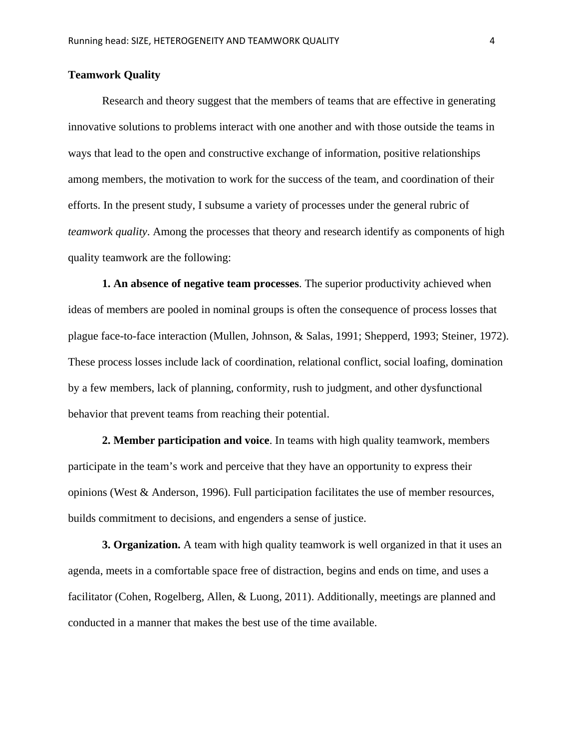# **Teamwork Quality**

Research and theory suggest that the members of teams that are effective in generating innovative solutions to problems interact with one another and with those outside the teams in ways that lead to the open and constructive exchange of information, positive relationships among members, the motivation to work for the success of the team, and coordination of their efforts. In the present study, I subsume a variety of processes under the general rubric of *teamwork quality*. Among the processes that theory and research identify as components of high quality teamwork are the following:

**1. An absence of negative team processes**. The superior productivity achieved when ideas of members are pooled in nominal groups is often the consequence of process losses that plague face-to-face interaction (Mullen, Johnson, & Salas, 1991; Shepperd, 1993; Steiner, 1972). These process losses include lack of coordination, relational conflict, social loafing, domination by a few members, lack of planning, conformity, rush to judgment, and other dysfunctional behavior that prevent teams from reaching their potential.

**2. Member participation and voice**. In teams with high quality teamwork, members participate in the team's work and perceive that they have an opportunity to express their opinions (West & Anderson, 1996). Full participation facilitates the use of member resources, builds commitment to decisions, and engenders a sense of justice.

**3. Organization.** A team with high quality teamwork is well organized in that it uses an agenda, meets in a comfortable space free of distraction, begins and ends on time, and uses a facilitator (Cohen, Rogelberg, Allen, & Luong, 2011). Additionally, meetings are planned and conducted in a manner that makes the best use of the time available.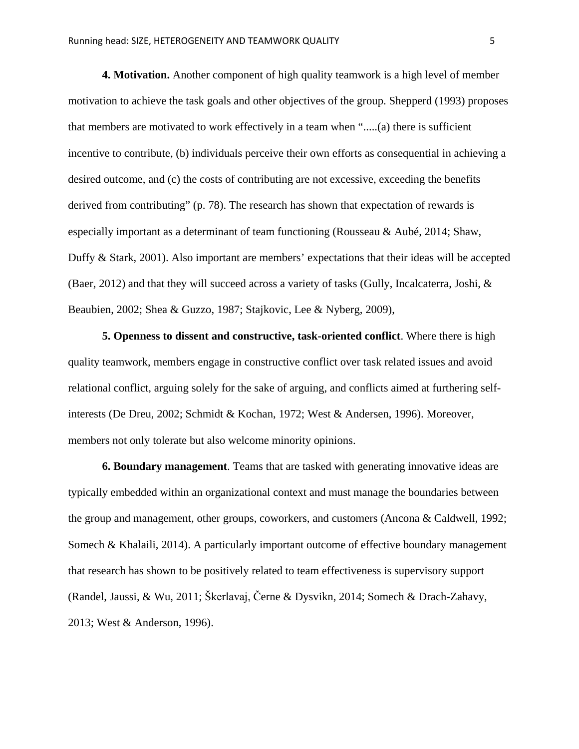**4. Motivation.** Another component of high quality teamwork is a high level of member motivation to achieve the task goals and other objectives of the group. Shepperd (1993) proposes that members are motivated to work effectively in a team when ".....(a) there is sufficient incentive to contribute, (b) individuals perceive their own efforts as consequential in achieving a desired outcome, and (c) the costs of contributing are not excessive, exceeding the benefits derived from contributing" (p. 78). The research has shown that expectation of rewards is especially important as a determinant of team functioning (Rousseau & Aubé, 2014; Shaw, Duffy & Stark, 2001). Also important are members' expectations that their ideas will be accepted (Baer, 2012) and that they will succeed across a variety of tasks (Gully, Incalcaterra, Joshi, & Beaubien, 2002; Shea & Guzzo, 1987; Stajkovic, Lee & Nyberg, 2009),

**5. Openness to dissent and constructive, task-oriented conflict**. Where there is high quality teamwork, members engage in constructive conflict over task related issues and avoid relational conflict, arguing solely for the sake of arguing, and conflicts aimed at furthering selfinterests (De Dreu, 2002; Schmidt & Kochan, 1972; West & Andersen, 1996). Moreover, members not only tolerate but also welcome minority opinions.

**6. Boundary management**. Teams that are tasked with generating innovative ideas are typically embedded within an organizational context and must manage the boundaries between the group and management, other groups, coworkers, and customers (Ancona & Caldwell, 1992; Somech & Khalaili, 2014). A particularly important outcome of effective boundary management that research has shown to be positively related to team effectiveness is supervisory support (Randel, Jaussi, & Wu, 2011; Škerlavaj, Černe & Dysvikn, 2014; Somech & Drach-Zahavy, 2013; West & Anderson, 1996).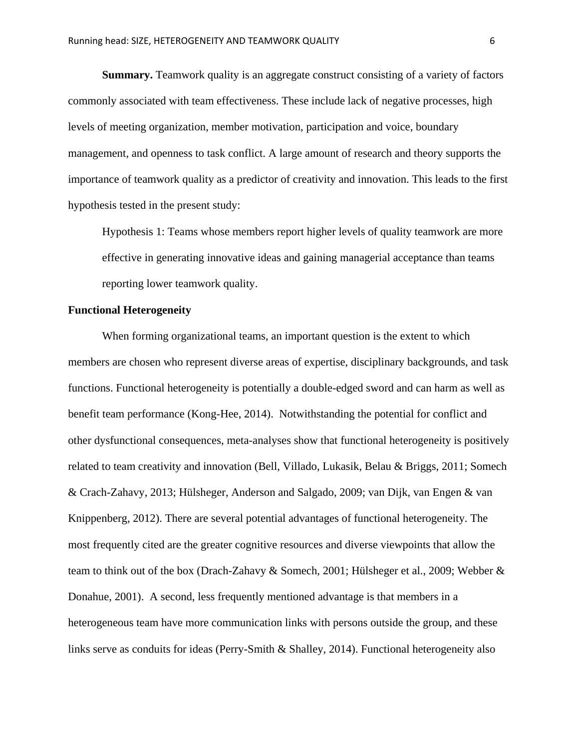**Summary.** Teamwork quality is an aggregate construct consisting of a variety of factors commonly associated with team effectiveness. These include lack of negative processes, high levels of meeting organization, member motivation, participation and voice, boundary management, and openness to task conflict. A large amount of research and theory supports the importance of teamwork quality as a predictor of creativity and innovation. This leads to the first hypothesis tested in the present study:

Hypothesis 1: Teams whose members report higher levels of quality teamwork are more effective in generating innovative ideas and gaining managerial acceptance than teams reporting lower teamwork quality.

# **Functional Heterogeneity**

When forming organizational teams, an important question is the extent to which members are chosen who represent diverse areas of expertise, disciplinary backgrounds, and task functions. Functional heterogeneity is potentially a double-edged sword and can harm as well as benefit team performance (Kong-Hee, 2014). Notwithstanding the potential for conflict and other dysfunctional consequences, meta-analyses show that functional heterogeneity is positively related to team creativity and innovation (Bell, Villado, Lukasik, Belau & Briggs, 2011; Somech & Crach-Zahavy, 2013; Hülsheger, Anderson and Salgado, 2009; van Dijk, van Engen & van Knippenberg, 2012). There are several potential advantages of functional heterogeneity. The most frequently cited are the greater cognitive resources and diverse viewpoints that allow the team to think out of the box (Drach-Zahavy & Somech, 2001; Hülsheger et al., 2009; Webber & Donahue, 2001). A second, less frequently mentioned advantage is that members in a heterogeneous team have more communication links with persons outside the group, and these links serve as conduits for ideas (Perry-Smith & Shalley, 2014). Functional heterogeneity also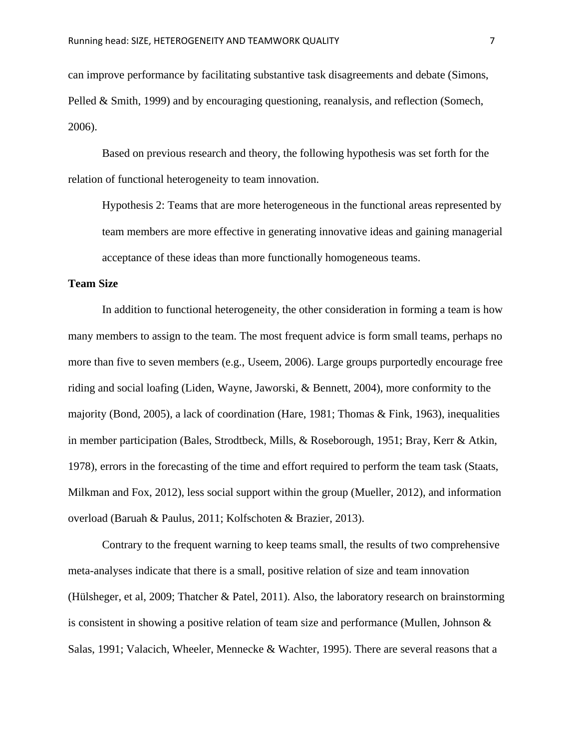can improve performance by facilitating substantive task disagreements and debate (Simons, Pelled & Smith, 1999) and by encouraging questioning, reanalysis, and reflection (Somech, 2006).

Based on previous research and theory, the following hypothesis was set forth for the relation of functional heterogeneity to team innovation.

Hypothesis 2: Teams that are more heterogeneous in the functional areas represented by team members are more effective in generating innovative ideas and gaining managerial acceptance of these ideas than more functionally homogeneous teams.

# **Team Size**

In addition to functional heterogeneity, the other consideration in forming a team is how many members to assign to the team. The most frequent advice is form small teams, perhaps no more than five to seven members (e.g., Useem, 2006). Large groups purportedly encourage free riding and social loafing (Liden, Wayne, Jaworski, & Bennett, 2004), more conformity to the majority (Bond, 2005), a lack of coordination (Hare, 1981; Thomas & Fink, 1963), inequalities in member participation (Bales, Strodtbeck, Mills, & Roseborough, 1951; Bray, Kerr & Atkin, 1978), errors in the forecasting of the time and effort required to perform the team task (Staats, Milkman and Fox, 2012), less social support within the group (Mueller, 2012), and information overload (Baruah & Paulus, 2011; Kolfschoten & Brazier, 2013).

Contrary to the frequent warning to keep teams small, the results of two comprehensive meta-analyses indicate that there is a small, positive relation of size and team innovation (Hülsheger, et al, 2009; Thatcher & Patel, 2011). Also, the laboratory research on brainstorming is consistent in showing a positive relation of team size and performance (Mullen, Johnson & Salas, 1991; Valacich, Wheeler, Mennecke & Wachter, 1995). There are several reasons that a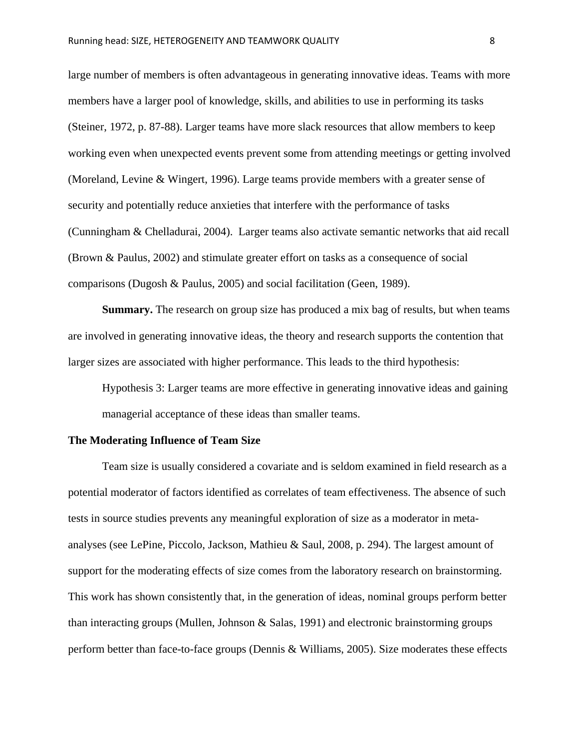large number of members is often advantageous in generating innovative ideas. Teams with more members have a larger pool of knowledge, skills, and abilities to use in performing its tasks (Steiner, 1972, p. 87-88). Larger teams have more slack resources that allow members to keep working even when unexpected events prevent some from attending meetings or getting involved (Moreland, Levine & Wingert, 1996). Large teams provide members with a greater sense of security and potentially reduce anxieties that interfere with the performance of tasks (Cunningham & Chelladurai, 2004). Larger teams also activate semantic networks that aid recall (Brown & Paulus, 2002) and stimulate greater effort on tasks as a consequence of social comparisons (Dugosh & Paulus, 2005) and social facilitation (Geen, 1989).

**Summary.** The research on group size has produced a mix bag of results, but when teams are involved in generating innovative ideas, the theory and research supports the contention that larger sizes are associated with higher performance. This leads to the third hypothesis:

Hypothesis 3: Larger teams are more effective in generating innovative ideas and gaining managerial acceptance of these ideas than smaller teams.

#### **The Moderating Influence of Team Size**

Team size is usually considered a covariate and is seldom examined in field research as a potential moderator of factors identified as correlates of team effectiveness. The absence of such tests in source studies prevents any meaningful exploration of size as a moderator in metaanalyses (see LePine, Piccolo, Jackson, Mathieu & Saul, 2008, p. 294). The largest amount of support for the moderating effects of size comes from the laboratory research on brainstorming. This work has shown consistently that, in the generation of ideas, nominal groups perform better than interacting groups (Mullen, Johnson & Salas, 1991) and electronic brainstorming groups perform better than face-to-face groups (Dennis & Williams, 2005). Size moderates these effects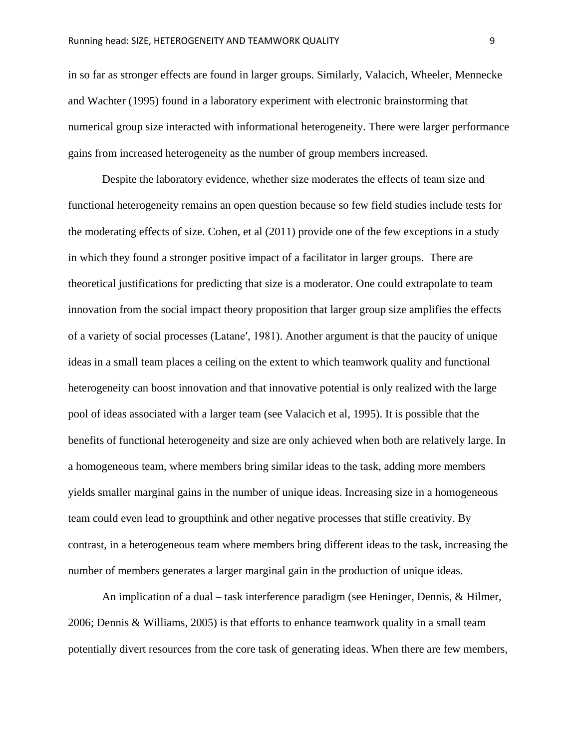in so far as stronger effects are found in larger groups. Similarly, Valacich, Wheeler, Mennecke and Wachter (1995) found in a laboratory experiment with electronic brainstorming that numerical group size interacted with informational heterogeneity. There were larger performance gains from increased heterogeneity as the number of group members increased.

Despite the laboratory evidence, whether size moderates the effects of team size and functional heterogeneity remains an open question because so few field studies include tests for the moderating effects of size. Cohen, et al (2011) provide one of the few exceptions in a study in which they found a stronger positive impact of a facilitator in larger groups. There are theoretical justifications for predicting that size is a moderator. One could extrapolate to team innovation from the social impact theory proposition that larger group size amplifies the effects of a variety of social processes (Lataneʹ, 1981). Another argument is that the paucity of unique ideas in a small team places a ceiling on the extent to which teamwork quality and functional heterogeneity can boost innovation and that innovative potential is only realized with the large pool of ideas associated with a larger team (see Valacich et al, 1995). It is possible that the benefits of functional heterogeneity and size are only achieved when both are relatively large. In a homogeneous team, where members bring similar ideas to the task, adding more members yields smaller marginal gains in the number of unique ideas. Increasing size in a homogeneous team could even lead to groupthink and other negative processes that stifle creativity. By contrast, in a heterogeneous team where members bring different ideas to the task, increasing the number of members generates a larger marginal gain in the production of unique ideas.

An implication of a dual – task interference paradigm (see Heninger, Dennis, & Hilmer, 2006; Dennis & Williams, 2005) is that efforts to enhance teamwork quality in a small team potentially divert resources from the core task of generating ideas. When there are few members,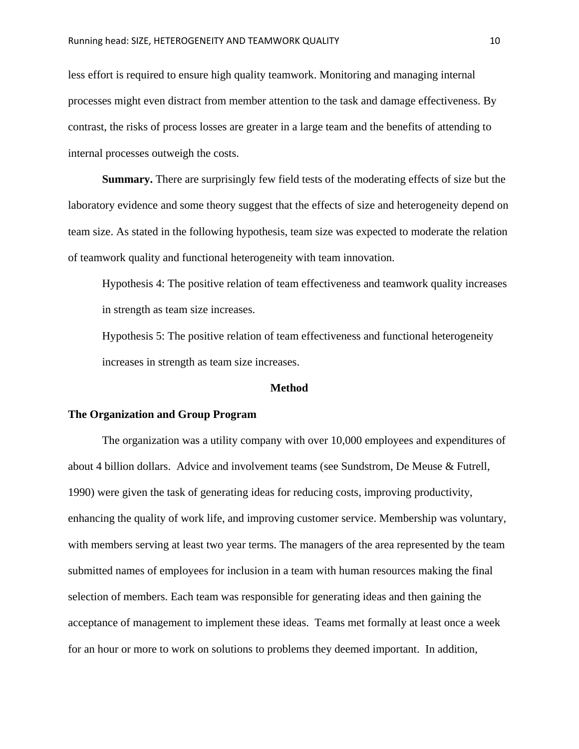less effort is required to ensure high quality teamwork. Monitoring and managing internal processes might even distract from member attention to the task and damage effectiveness. By contrast, the risks of process losses are greater in a large team and the benefits of attending to internal processes outweigh the costs.

**Summary.** There are surprisingly few field tests of the moderating effects of size but the laboratory evidence and some theory suggest that the effects of size and heterogeneity depend on team size. As stated in the following hypothesis, team size was expected to moderate the relation of teamwork quality and functional heterogeneity with team innovation.

Hypothesis 4: The positive relation of team effectiveness and teamwork quality increases in strength as team size increases.

Hypothesis 5: The positive relation of team effectiveness and functional heterogeneity increases in strength as team size increases.

#### **Method**

#### **The Organization and Group Program**

The organization was a utility company with over 10,000 employees and expenditures of about 4 billion dollars. Advice and involvement teams (see Sundstrom, De Meuse & Futrell, 1990) were given the task of generating ideas for reducing costs, improving productivity, enhancing the quality of work life, and improving customer service. Membership was voluntary, with members serving at least two year terms. The managers of the area represented by the team submitted names of employees for inclusion in a team with human resources making the final selection of members. Each team was responsible for generating ideas and then gaining the acceptance of management to implement these ideas. Teams met formally at least once a week for an hour or more to work on solutions to problems they deemed important. In addition,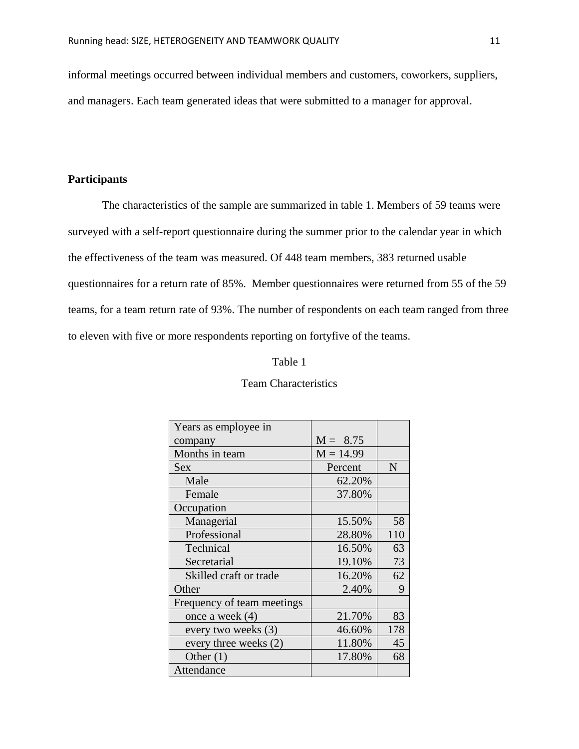informal meetings occurred between individual members and customers, coworkers, suppliers, and managers. Each team generated ideas that were submitted to a manager for approval.

# **Participants**

The characteristics of the sample are summarized in table 1. Members of 59 teams were surveyed with a self-report questionnaire during the summer prior to the calendar year in which the effectiveness of the team was measured. Of 448 team members, 383 returned usable questionnaires for a return rate of 85%. Member questionnaires were returned from 55 of the 59 teams, for a team return rate of 93%. The number of respondents on each team ranged from three to eleven with five or more respondents reporting on fortyfive of the teams.

#### Table 1

| Years as employee in       |             |     |
|----------------------------|-------------|-----|
| company                    | $M = 8.75$  |     |
| Months in team             | $M = 14.99$ |     |
| <b>Sex</b>                 | Percent     | N   |
| Male                       | 62.20%      |     |
| Female                     | 37.80%      |     |
| Occupation                 |             |     |
| Managerial                 | 15.50%      | 58  |
| Professional               | 28.80%      | 110 |
| Technical                  | 16.50%      | 63  |
| Secretarial                | 19.10%      | 73  |
| Skilled craft or trade     | 16.20%      | 62  |
| Other                      | 2.40%       | 9   |
| Frequency of team meetings |             |     |
| once a week (4)            | 21.70%      | 83  |
| every two weeks (3)        | 46.60%      | 178 |
| every three weeks (2)      | 11.80%      | 45  |
| Other $(1)$                | 17.80%      | 68  |
| Attendance                 |             |     |

#### Team Characteristics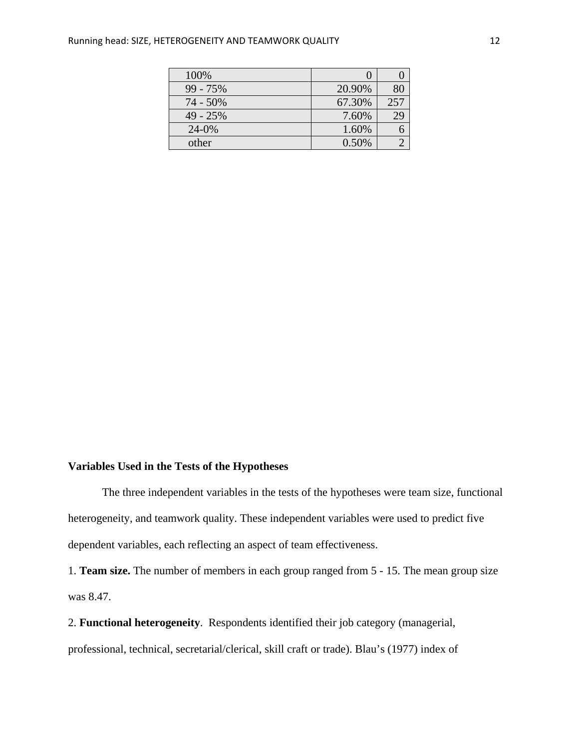| 100%       |        |     |
|------------|--------|-----|
| $99 - 75%$ | 20.90% |     |
| 74 - 50%   | 67.30% | 257 |
| $49 - 25%$ | 7.60%  | 29  |
| 24-0%      | 1.60%  |     |
| other      | 0.50%  |     |

# **Variables Used in the Tests of the Hypotheses**

The three independent variables in the tests of the hypotheses were team size, functional heterogeneity, and teamwork quality. These independent variables were used to predict five dependent variables, each reflecting an aspect of team effectiveness.

1. **Team size.** The number of members in each group ranged from 5 - 15. The mean group size was 8.47.

2. **Functional heterogeneity**. Respondents identified their job category (managerial, professional, technical, secretarial/clerical, skill craft or trade). Blau's (1977) index of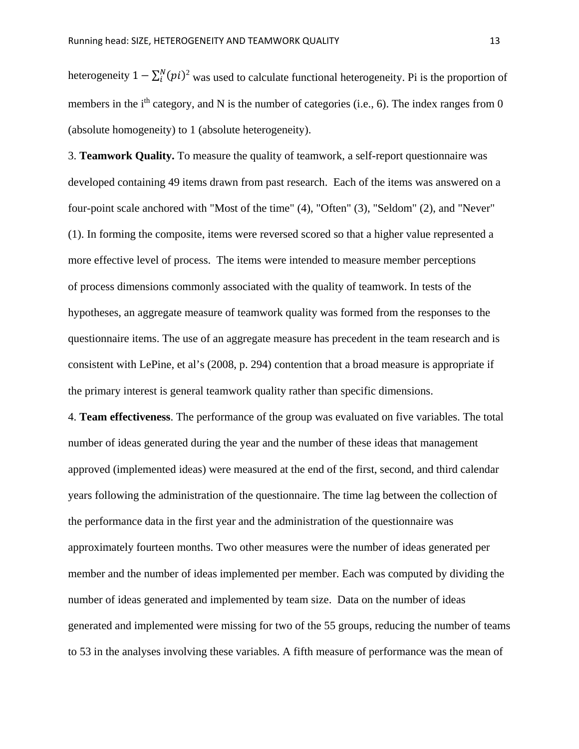heterogeneity  $1 - \sum_{i}^{N} (pi)^2$  was used to calculate functional heterogeneity. Pi is the proportion of members in the  $i<sup>th</sup>$  category, and N is the number of categories (i.e., 6). The index ranges from 0 (absolute homogeneity) to 1 (absolute heterogeneity).

3. **Teamwork Quality.** To measure the quality of teamwork, a self-report questionnaire was developed containing 49 items drawn from past research. Each of the items was answered on a four-point scale anchored with "Most of the time" (4), "Often" (3), "Seldom" (2), and "Never" (1). In forming the composite, items were reversed scored so that a higher value represented a more effective level of process. The items were intended to measure member perceptions of process dimensions commonly associated with the quality of teamwork. In tests of the hypotheses, an aggregate measure of teamwork quality was formed from the responses to the questionnaire items. The use of an aggregate measure has precedent in the team research and is consistent with LePine, et al's (2008, p. 294) contention that a broad measure is appropriate if the primary interest is general teamwork quality rather than specific dimensions.

4. **Team effectiveness**. The performance of the group was evaluated on five variables. The total number of ideas generated during the year and the number of these ideas that management approved (implemented ideas) were measured at the end of the first, second, and third calendar years following the administration of the questionnaire. The time lag between the collection of the performance data in the first year and the administration of the questionnaire was approximately fourteen months. Two other measures were the number of ideas generated per member and the number of ideas implemented per member. Each was computed by dividing the number of ideas generated and implemented by team size. Data on the number of ideas generated and implemented were missing for two of the 55 groups, reducing the number of teams to 53 in the analyses involving these variables. A fifth measure of performance was the mean of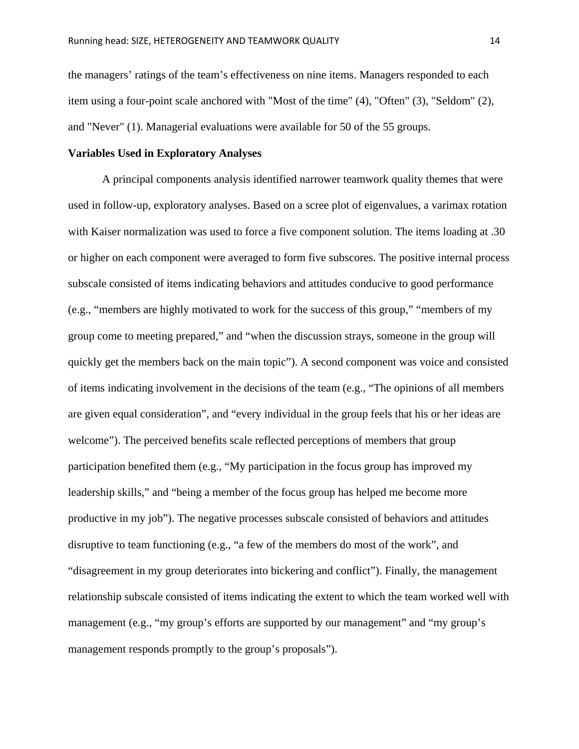the managers' ratings of the team's effectiveness on nine items. Managers responded to each item using a four-point scale anchored with "Most of the time" (4), "Often" (3), "Seldom" (2), and "Never" (1). Managerial evaluations were available for 50 of the 55 groups.

# **Variables Used in Exploratory Analyses**

A principal components analysis identified narrower teamwork quality themes that were used in follow-up, exploratory analyses. Based on a scree plot of eigenvalues, a varimax rotation with Kaiser normalization was used to force a five component solution. The items loading at .30 or higher on each component were averaged to form five subscores. The positive internal process subscale consisted of items indicating behaviors and attitudes conducive to good performance (e.g., "members are highly motivated to work for the success of this group," "members of my group come to meeting prepared," and "when the discussion strays, someone in the group will quickly get the members back on the main topic"). A second component was voice and consisted of items indicating involvement in the decisions of the team (e.g., "The opinions of all members are given equal consideration", and "every individual in the group feels that his or her ideas are welcome"). The perceived benefits scale reflected perceptions of members that group participation benefited them (e.g., "My participation in the focus group has improved my leadership skills," and "being a member of the focus group has helped me become more productive in my job"). The negative processes subscale consisted of behaviors and attitudes disruptive to team functioning (e.g., "a few of the members do most of the work", and "disagreement in my group deteriorates into bickering and conflict"). Finally, the management relationship subscale consisted of items indicating the extent to which the team worked well with management (e.g., "my group's efforts are supported by our management" and "my group's management responds promptly to the group's proposals").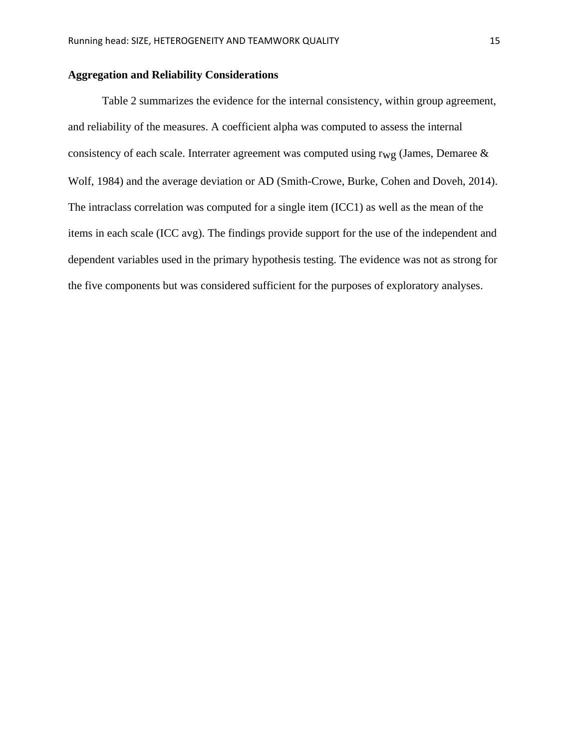# **Aggregation and Reliability Considerations**

Table 2 summarizes the evidence for the internal consistency, within group agreement, and reliability of the measures. A coefficient alpha was computed to assess the internal consistency of each scale. Interrater agreement was computed using  $r_{wg}$  (James, Demaree & Wolf, 1984) and the average deviation or AD (Smith-Crowe, Burke, Cohen and Doveh, 2014). The intraclass correlation was computed for a single item (ICC1) as well as the mean of the items in each scale (ICC avg). The findings provide support for the use of the independent and dependent variables used in the primary hypothesis testing. The evidence was not as strong for the five components but was considered sufficient for the purposes of exploratory analyses.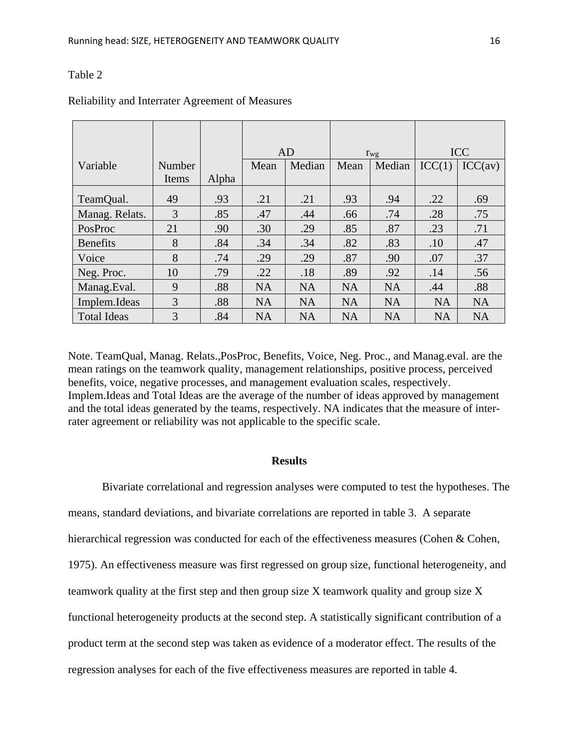|                    |        |       | AD        |           | $r_{\rm wg}$ |           | <b>ICC</b> |           |
|--------------------|--------|-------|-----------|-----------|--------------|-----------|------------|-----------|
| Variable           | Number |       | Mean      | Median    | Mean         | Median    | ICC(1)     | ICC(av)   |
|                    | Items  | Alpha |           |           |              |           |            |           |
| TeamQual.          | 49     | .93   | .21       | .21       | .93          | .94       | .22        | .69       |
| Manag. Relats.     | 3      | .85   | .47       | .44       | .66          | .74       | .28        | .75       |
| PosProc            | 21     | .90   | .30       | .29       | .85          | .87       | .23        | .71       |
| <b>Benefits</b>    | 8      | .84   | .34       | .34       | .82          | .83       | .10        | .47       |
| Voice              | 8      | .74   | .29       | .29       | .87          | .90       | .07        | .37       |
| Neg. Proc.         | 10     | .79   | .22       | .18       | .89          | .92       | .14        | .56       |
| Manag.Eval.        | 9      | .88   | <b>NA</b> | <b>NA</b> | <b>NA</b>    | <b>NA</b> | .44        | .88       |
| Implem.Ideas       | 3      | .88   | <b>NA</b> | <b>NA</b> | <b>NA</b>    | <b>NA</b> | <b>NA</b>  | <b>NA</b> |
| <b>Total Ideas</b> | 3      | .84   | <b>NA</b> | <b>NA</b> | <b>NA</b>    | <b>NA</b> | <b>NA</b>  | <b>NA</b> |

# Reliability and Interrater Agreement of Measures

Note. TeamQual, Manag. Relats.,PosProc, Benefits, Voice, Neg. Proc., and Manag.eval. are the mean ratings on the teamwork quality, management relationships, positive process, perceived benefits, voice, negative processes, and management evaluation scales, respectively. Implem.Ideas and Total Ideas are the average of the number of ideas approved by management and the total ideas generated by the teams, respectively. NA indicates that the measure of interrater agreement or reliability was not applicable to the specific scale.

### **Results**

Bivariate correlational and regression analyses were computed to test the hypotheses. The means, standard deviations, and bivariate correlations are reported in table 3. A separate hierarchical regression was conducted for each of the effectiveness measures (Cohen  $\&$  Cohen, 1975). An effectiveness measure was first regressed on group size, functional heterogeneity, and teamwork quality at the first step and then group size X teamwork quality and group size X functional heterogeneity products at the second step. A statistically significant contribution of a product term at the second step was taken as evidence of a moderator effect. The results of the regression analyses for each of the five effectiveness measures are reported in table 4.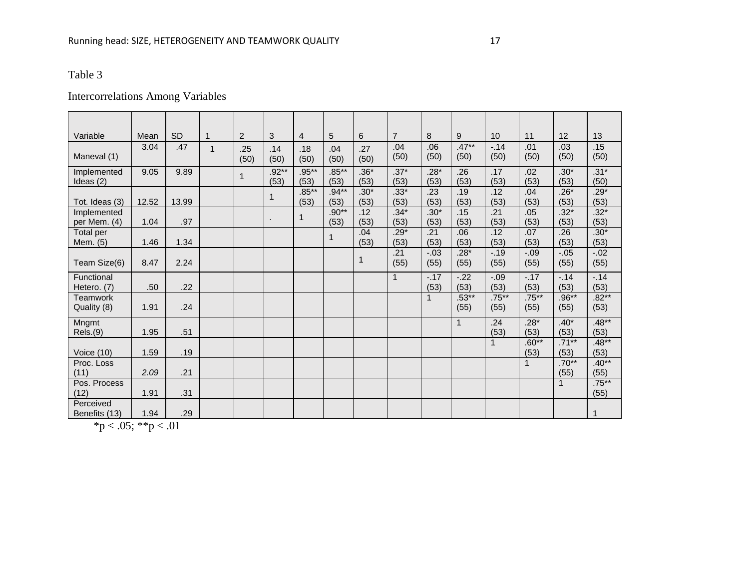# Intercorrelations Among Variables

| Variable                     | Mean  | <b>SD</b> |              | $\overline{2}$ | 3               | 4                | 5                | 6              | $\overline{7}$ | 8              | 9                | 10               | 11               | 12               | 13               |
|------------------------------|-------|-----------|--------------|----------------|-----------------|------------------|------------------|----------------|----------------|----------------|------------------|------------------|------------------|------------------|------------------|
| Maneval (1)                  | 3.04  | .47       | $\mathbf{1}$ | .25<br>(50)    | .14<br>(50)     | .18<br>(50)      | .04<br>(50)      | .27<br>(50)    | .04<br>(50)    | .06<br>(50)    | $.47***$<br>(50) | $-.14$<br>(50)   | .01<br>(50)      | .03<br>(50)      | .15<br>(50)      |
| Implemented<br>Ideas $(2)$   | 9.05  | 9.89      |              | 1              | $.92**$<br>(53) | $.95***$<br>(53) | $.85***$<br>(53) | $.36*$<br>(53) | $.37*$<br>(53) | $.28*$<br>(53) | .26<br>(53)      | .17<br>(53)      | .02<br>(53)      | $.30*$<br>(53)   | $.31*$<br>(50)   |
| Tot. Ideas (3)               | 12.52 | 13.99     |              |                | $\mathbf 1$     | $.85***$<br>(53) | $.94**$<br>(53)  | $.30*$<br>(53) | $.33*$<br>(53) | .23<br>(53)    | .19<br>(53)      | .12<br>(53)      | .04<br>(53)      | $.26*$<br>(53)   | $.29*$<br>(53)   |
| Implemented<br>per Mem. (4)  | 1.04  | .97       |              |                | $\mathbf{r}$    | 1                | $.90**$<br>(53)  | .12<br>(53)    | $.34*$<br>(53) | $.30*$<br>(53) | .15<br>(53)      | .21<br>(53)      | .05<br>(53)      | $.32*$<br>(53)   | $.32*$<br>(53)   |
| <b>Total per</b><br>Mem. (5) | 1.46  | 1.34      |              |                |                 |                  | $\mathbf 1$      | .04<br>(53)    | $.29*$<br>(53) | .21<br>(53)    | .06<br>(53)      | .12<br>(53)      | .07<br>(53)      | .26<br>(53)      | $.30*$<br>(53)   |
| Team Size(6)                 | 8.47  | 2.24      |              |                |                 |                  |                  | 1              | .21<br>(55)    | $-.03$<br>(55) | $.28*$<br>(55)   | $-.19$<br>(55)   | $-.09$<br>(55)   | $-.05$<br>(55)   | $-.02$<br>(55)   |
| Functional<br>Hetero. (7)    | .50   | .22       |              |                |                 |                  |                  |                | $\mathbf{1}$   | $-.17$<br>(53) | $-.22$<br>(53)   | $-.09$<br>(53)   | $-.17$<br>(53)   | $-.14$<br>(53)   | $-.14$<br>(53)   |
| Teamwork<br>Quality (8)      | 1.91  | .24       |              |                |                 |                  |                  |                |                | $\mathbf 1$    | $.53***$<br>(55) | $.75***$<br>(55) | $.75***$<br>(55) | $.96**$<br>(55)  | $.82**$<br>(53)  |
| Mngmt<br>Rels.(9)            | 1.95  | .51       |              |                |                 |                  |                  |                |                |                | $\mathbf{1}$     | .24<br>(53)      | $.28*$<br>(53)   | $.40*$<br>(53)   | $.48**$<br>(53)  |
| Voice $(10)$                 | 1.59  | .19       |              |                |                 |                  |                  |                |                |                |                  | $\mathbf{1}$     | $.60**$<br>(53)  | $.71***$<br>(53) | $.48**$<br>(53)  |
| Proc. Loss<br>(11)           | 2.09  | .21       |              |                |                 |                  |                  |                |                |                |                  |                  | 1                | $.70**$<br>(55)  | $.40**$<br>(55)  |
| Pos. Process<br>(12)         | 1.91  | .31       |              |                |                 |                  |                  |                |                |                |                  |                  |                  | $\mathbf{1}$     | $.75***$<br>(55) |
| Perceived<br>Benefits (13)   | 1.94  | .29       |              |                |                 |                  |                  |                |                |                |                  |                  |                  |                  |                  |

 $*<sub>p</sub> < .05; **<sub>p</sub> < .01$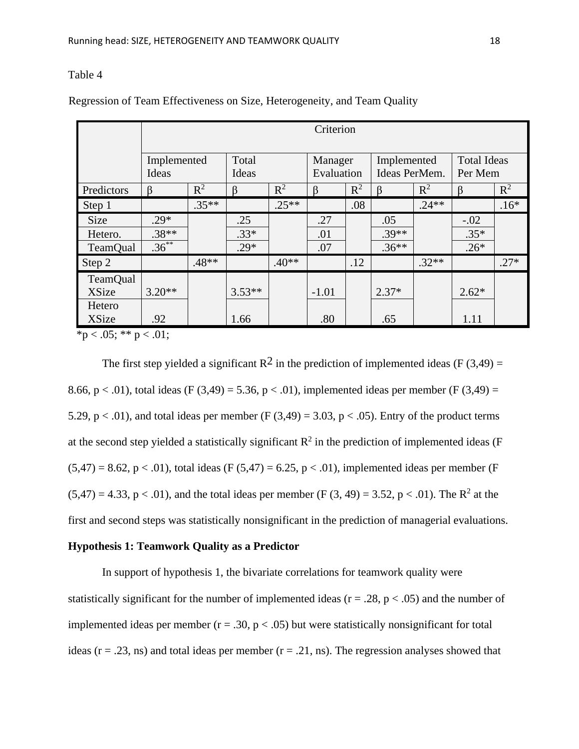|                                                    | Criterion                     |         |                         |         |                   |       |                           |         |                              |        |                               |  |
|----------------------------------------------------|-------------------------------|---------|-------------------------|---------|-------------------|-------|---------------------------|---------|------------------------------|--------|-------------------------------|--|
|                                                    | Implemented<br>Ideas          |         | Total<br>Ideas          |         |                   |       | Manager<br>Evaluation     |         | Implemented<br>Ideas PerMem. |        | <b>Total Ideas</b><br>Per Mem |  |
| Predictors                                         | $\beta$                       | $R^2$   | $\beta$                 | $R^2$   |                   | $R^2$ | $\beta$                   | $R^2$   | ß                            | $R^2$  |                               |  |
| Step 1                                             |                               | $.35**$ |                         | $.25**$ |                   | .08   |                           | $.24**$ |                              | $.16*$ |                               |  |
| <b>Size</b><br>Hetero.<br><b>TeamQual</b>          | $.29*$<br>$.38**$<br>$.36***$ |         | .25<br>$.33*$<br>$.29*$ |         | .27<br>.01<br>.07 |       | .05<br>$.39**$<br>$.36**$ |         | $-.02$<br>$.35*$<br>$.26*$   |        |                               |  |
| Step 2                                             |                               | $.48**$ |                         | $.40**$ |                   | .12   |                           | $.32**$ |                              | $.27*$ |                               |  |
| TeamQual<br><b>XSize</b><br>Hetero<br><b>XSize</b> | $3.20**$<br>.92               |         | $3.53**$<br>1.66        |         | $-1.01$<br>.80    |       | $2.37*$<br>.65            |         | $2.62*$<br>1.11              |        |                               |  |

Regression of Team Effectiveness on Size, Heterogeneity, and Team Quality

 $*<sub>p</sub> < .05; ** p < .01;$ 

The first step yielded a significant  $R^2$  in the prediction of implemented ideas (F (3,49) = 8.66, p < .01), total ideas (F (3,49) = 5.36, p < .01), implemented ideas per member (F (3,49) = 5.29,  $p < .01$ ), and total ideas per member (F (3,49) = 3.03,  $p < .05$ ). Entry of the product terms at the second step yielded a statistically significant  $R^2$  in the prediction of implemented ideas (F  $(5,47) = 8.62$ , p < .01), total ideas (F (5,47) = 6.25, p < .01), implemented ideas per member (F  $(5,47) = 4.33$ , p < .01), and the total ideas per member (F (3, 49) = 3.52, p < .01). The R<sup>2</sup> at the first and second steps was statistically nonsignificant in the prediction of managerial evaluations.

# **Hypothesis 1: Teamwork Quality as a Predictor**

In support of hypothesis 1, the bivariate correlations for teamwork quality were statistically significant for the number of implemented ideas ( $r = .28$ ,  $p < .05$ ) and the number of implemented ideas per member ( $r = .30$ ,  $p < .05$ ) but were statistically nonsignificant for total ideas ( $r = .23$ , ns) and total ideas per member ( $r = .21$ , ns). The regression analyses showed that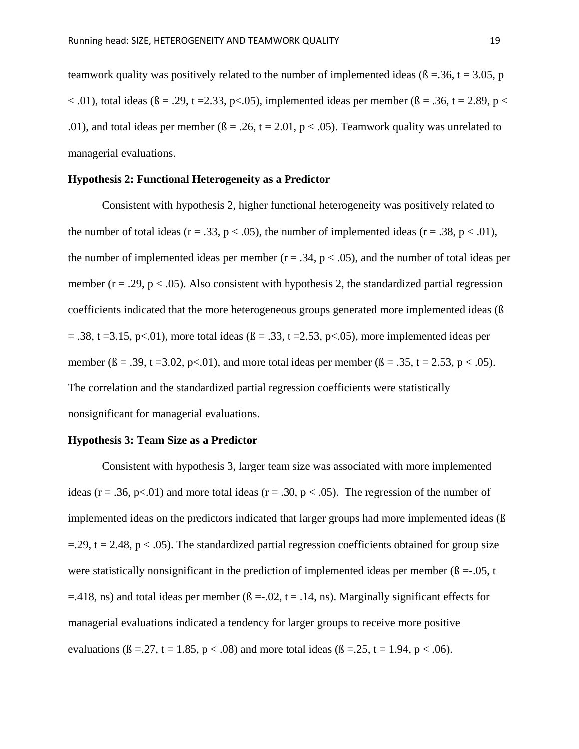teamwork quality was positively related to the number of implemented ideas ( $\beta = 0.36$ , t = 3.05, p  $<$  0.01), total ideas ( $\beta$  = .29, t = 2.33, p $<$  0.05), implemented ideas per member ( $\beta$  = .36, t = 2.89, p  $<$ .01), and total ideas per member ( $\beta = .26$ ,  $t = 2.01$ ,  $p < .05$ ). Teamwork quality was unrelated to managerial evaluations.

### **Hypothesis 2: Functional Heterogeneity as a Predictor**

Consistent with hypothesis 2, higher functional heterogeneity was positively related to the number of total ideas ( $r = .33$ ,  $p < .05$ ), the number of implemented ideas ( $r = .38$ ,  $p < .01$ ), the number of implemented ideas per member ( $r = .34$ ,  $p < .05$ ), and the number of total ideas per member ( $r = .29$ ,  $p < .05$ ). Also consistent with hypothesis 2, the standardized partial regression coefficients indicated that the more heterogeneous groups generated more implemented ideas (ß  $= .38$ , t =3.15, p<.01), more total ideas ( $\beta = .33$ , t =2.53, p<.05), more implemented ideas per member ( $\beta = .39$ , t = 3.02, p < .01), and more total ideas per member ( $\beta = .35$ , t = 2.53, p < .05). The correlation and the standardized partial regression coefficients were statistically nonsignificant for managerial evaluations.

#### **Hypothesis 3: Team Size as a Predictor**

Consistent with hypothesis 3, larger team size was associated with more implemented ideas (r = .36, p < .01) and more total ideas (r = .30, p < .05). The regression of the number of implemented ideas on the predictors indicated that larger groups had more implemented ideas (ß  $=$  29, t = 2.48, p < .05). The standardized partial regression coefficients obtained for group size were statistically nonsignificant in the prediction of implemented ideas per member ( $\beta = -0.05$ , t  $=$ .418, ns) and total ideas per member ( $\beta = 0.02$ , t = .14, ns). Marginally significant effects for managerial evaluations indicated a tendency for larger groups to receive more positive evaluations ( $\beta = 27$ ,  $t = 1.85$ ,  $p < .08$ ) and more total ideas ( $\beta = .25$ ,  $t = 1.94$ ,  $p < .06$ ).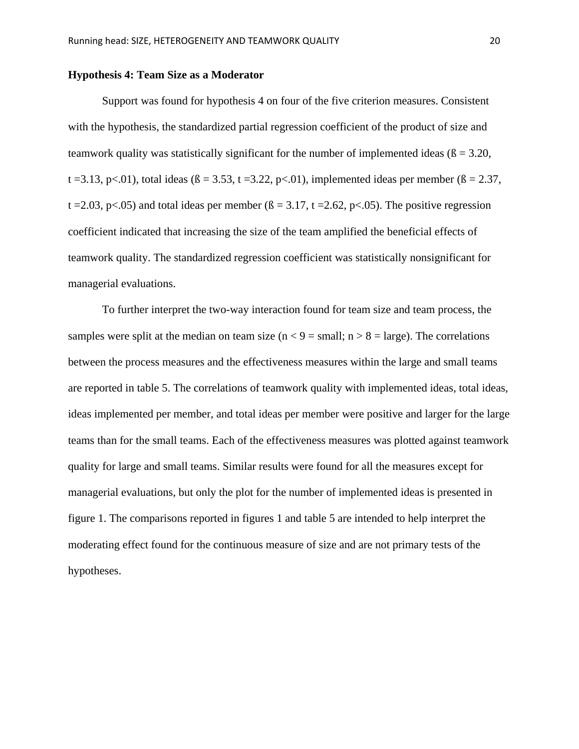### **Hypothesis 4: Team Size as a Moderator**

Support was found for hypothesis 4 on four of the five criterion measures. Consistent with the hypothesis, the standardized partial regression coefficient of the product of size and teamwork quality was statistically significant for the number of implemented ideas ( $\beta = 3.20$ , t = 3.13, p < 0.01), total ideas ( $\beta$  = 3.53, t = 3.22, p < 0.01), implemented ideas per member ( $\beta$  = 2.37, t = 2.03, p < 0.05) and total ideas per member ( $\beta$  = 3.17, t = 2.62, p < 0.05). The positive regression coefficient indicated that increasing the size of the team amplified the beneficial effects of teamwork quality. The standardized regression coefficient was statistically nonsignificant for managerial evaluations.

To further interpret the two-way interaction found for team size and team process, the samples were split at the median on team size ( $n < 9$  = small;  $n > 8$  = large). The correlations between the process measures and the effectiveness measures within the large and small teams are reported in table 5. The correlations of teamwork quality with implemented ideas, total ideas, ideas implemented per member, and total ideas per member were positive and larger for the large teams than for the small teams. Each of the effectiveness measures was plotted against teamwork quality for large and small teams. Similar results were found for all the measures except for managerial evaluations, but only the plot for the number of implemented ideas is presented in figure 1. The comparisons reported in figures 1 and table 5 are intended to help interpret the moderating effect found for the continuous measure of size and are not primary tests of the hypotheses.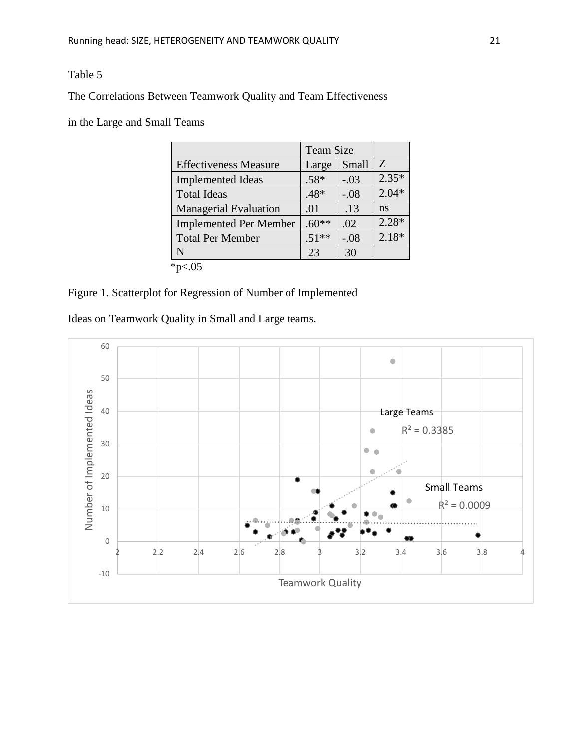The Correlations Between Teamwork Quality and Team Effectiveness

in the Large and Small Teams

|                                 | <b>Team Size</b> |        |         |
|---------------------------------|------------------|--------|---------|
| <b>Effectiveness Measure</b>    | Large            | Small  | Z       |
| <b>Implemented Ideas</b>        | $.58*$           | $-.03$ | $2.35*$ |
| <b>Total Ideas</b>              | $.48*$           | $-.08$ | $2.04*$ |
| <b>Managerial Evaluation</b>    | .01              | .13    | ns      |
| <b>Implemented Per Member</b>   | $.60**$          | .02    | $2.28*$ |
| <b>Total Per Member</b>         | $.51**$          | $-.08$ | $2.18*$ |
| N                               | 23               | 30     |         |
| $*_{\mathsf{D}\leq \mathsf{L}}$ |                  |        |         |

# Figure 1. Scatterplot for Regression of Number of Implemented

Ideas on Teamwork Quality in Small and Large teams.

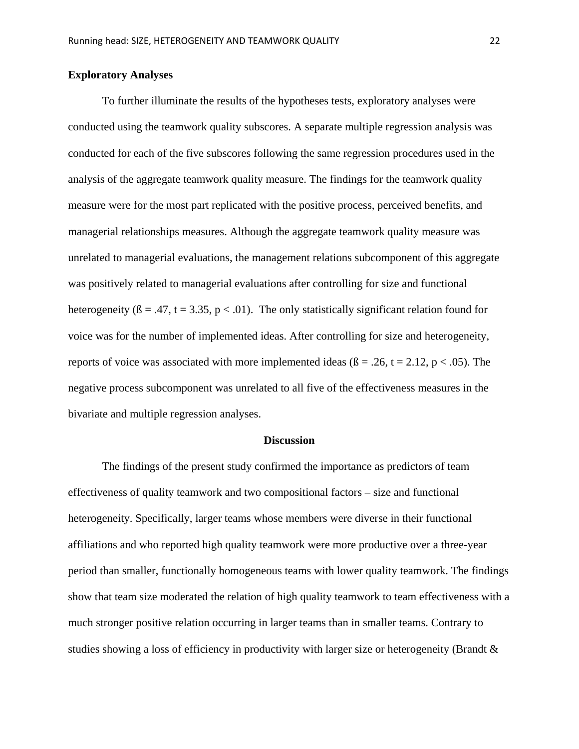# **Exploratory Analyses**

To further illuminate the results of the hypotheses tests, exploratory analyses were conducted using the teamwork quality subscores. A separate multiple regression analysis was conducted for each of the five subscores following the same regression procedures used in the analysis of the aggregate teamwork quality measure. The findings for the teamwork quality measure were for the most part replicated with the positive process, perceived benefits, and managerial relationships measures. Although the aggregate teamwork quality measure was unrelated to managerial evaluations, the management relations subcomponent of this aggregate was positively related to managerial evaluations after controlling for size and functional heterogeneity ( $\beta = .47$ ,  $t = 3.35$ ,  $p < .01$ ). The only statistically significant relation found for voice was for the number of implemented ideas. After controlling for size and heterogeneity, reports of voice was associated with more implemented ideas ( $\beta = .26$ ,  $t = 2.12$ ,  $p < .05$ ). The negative process subcomponent was unrelated to all five of the effectiveness measures in the bivariate and multiple regression analyses.

#### **Discussion**

The findings of the present study confirmed the importance as predictors of team effectiveness of quality teamwork and two compositional factors – size and functional heterogeneity. Specifically, larger teams whose members were diverse in their functional affiliations and who reported high quality teamwork were more productive over a three-year period than smaller, functionally homogeneous teams with lower quality teamwork. The findings show that team size moderated the relation of high quality teamwork to team effectiveness with a much stronger positive relation occurring in larger teams than in smaller teams. Contrary to studies showing a loss of efficiency in productivity with larger size or heterogeneity (Brandt  $\&$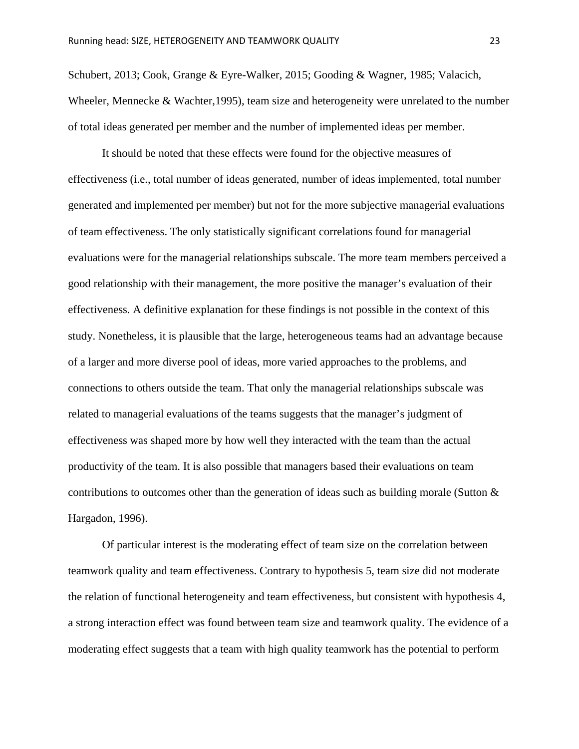Schubert, 2013; Cook, Grange & Eyre-Walker, 2015; Gooding & Wagner, 1985; Valacich, Wheeler, Mennecke & Wachter, 1995), team size and heterogeneity were unrelated to the number of total ideas generated per member and the number of implemented ideas per member.

It should be noted that these effects were found for the objective measures of effectiveness (i.e., total number of ideas generated, number of ideas implemented, total number generated and implemented per member) but not for the more subjective managerial evaluations of team effectiveness. The only statistically significant correlations found for managerial evaluations were for the managerial relationships subscale. The more team members perceived a good relationship with their management, the more positive the manager's evaluation of their effectiveness. A definitive explanation for these findings is not possible in the context of this study. Nonetheless, it is plausible that the large, heterogeneous teams had an advantage because of a larger and more diverse pool of ideas, more varied approaches to the problems, and connections to others outside the team. That only the managerial relationships subscale was related to managerial evaluations of the teams suggests that the manager's judgment of effectiveness was shaped more by how well they interacted with the team than the actual productivity of the team. It is also possible that managers based their evaluations on team contributions to outcomes other than the generation of ideas such as building morale (Sutton & Hargadon, 1996).

Of particular interest is the moderating effect of team size on the correlation between teamwork quality and team effectiveness. Contrary to hypothesis 5, team size did not moderate the relation of functional heterogeneity and team effectiveness, but consistent with hypothesis 4, a strong interaction effect was found between team size and teamwork quality. The evidence of a moderating effect suggests that a team with high quality teamwork has the potential to perform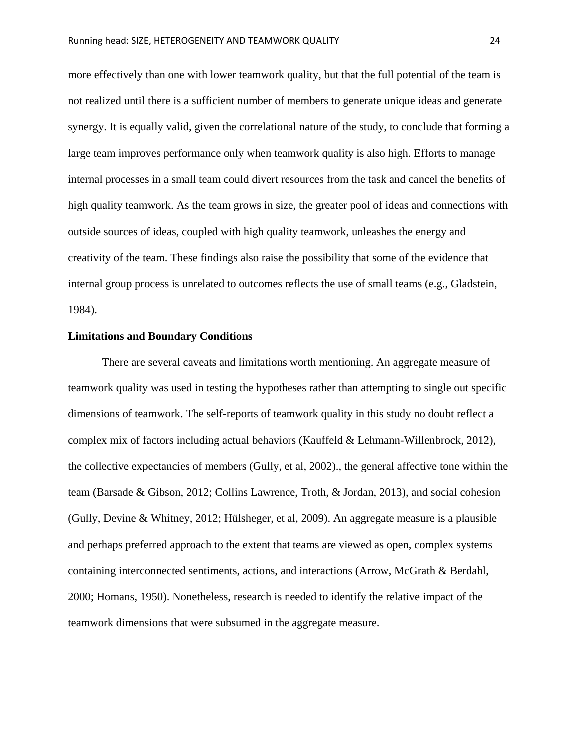more effectively than one with lower teamwork quality, but that the full potential of the team is not realized until there is a sufficient number of members to generate unique ideas and generate synergy. It is equally valid, given the correlational nature of the study, to conclude that forming a large team improves performance only when teamwork quality is also high. Efforts to manage internal processes in a small team could divert resources from the task and cancel the benefits of high quality teamwork. As the team grows in size, the greater pool of ideas and connections with outside sources of ideas, coupled with high quality teamwork, unleashes the energy and creativity of the team. These findings also raise the possibility that some of the evidence that internal group process is unrelated to outcomes reflects the use of small teams (e.g., Gladstein, 1984).

#### **Limitations and Boundary Conditions**

There are several caveats and limitations worth mentioning. An aggregate measure of teamwork quality was used in testing the hypotheses rather than attempting to single out specific dimensions of teamwork. The self-reports of teamwork quality in this study no doubt reflect a complex mix of factors including actual behaviors (Kauffeld & Lehmann-Willenbrock, 2012), the collective expectancies of members (Gully, et al, 2002)., the general affective tone within the team (Barsade & Gibson, 2012; Collins Lawrence, Troth, & Jordan, 2013), and social cohesion (Gully, Devine & Whitney, 2012; Hülsheger, et al, 2009). An aggregate measure is a plausible and perhaps preferred approach to the extent that teams are viewed as open, complex systems containing interconnected sentiments, actions, and interactions (Arrow, McGrath & Berdahl, 2000; Homans, 1950). Nonetheless, research is needed to identify the relative impact of the teamwork dimensions that were subsumed in the aggregate measure.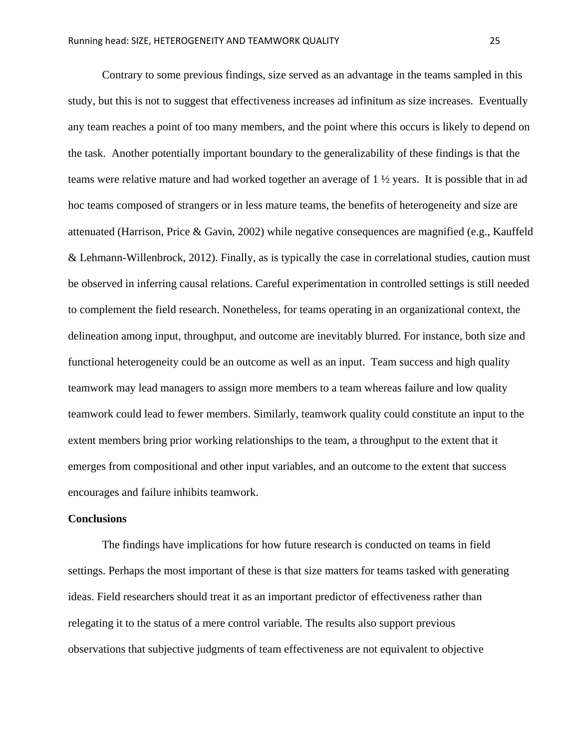Contrary to some previous findings, size served as an advantage in the teams sampled in this study, but this is not to suggest that effectiveness increases ad infinitum as size increases. Eventually any team reaches a point of too many members, and the point where this occurs is likely to depend on the task. Another potentially important boundary to the generalizability of these findings is that the teams were relative mature and had worked together an average of 1 ½ years. It is possible that in ad hoc teams composed of strangers or in less mature teams, the benefits of heterogeneity and size are attenuated (Harrison, Price & Gavin, 2002) while negative consequences are magnified (e.g., Kauffeld & Lehmann-Willenbrock, 2012). Finally, as is typically the case in correlational studies, caution must be observed in inferring causal relations. Careful experimentation in controlled settings is still needed to complement the field research. Nonetheless, for teams operating in an organizational context, the delineation among input, throughput, and outcome are inevitably blurred. For instance, both size and functional heterogeneity could be an outcome as well as an input. Team success and high quality teamwork may lead managers to assign more members to a team whereas failure and low quality teamwork could lead to fewer members. Similarly, teamwork quality could constitute an input to the extent members bring prior working relationships to the team, a throughput to the extent that it emerges from compositional and other input variables, and an outcome to the extent that success encourages and failure inhibits teamwork.

### **Conclusions**

The findings have implications for how future research is conducted on teams in field settings. Perhaps the most important of these is that size matters for teams tasked with generating ideas. Field researchers should treat it as an important predictor of effectiveness rather than relegating it to the status of a mere control variable. The results also support previous observations that subjective judgments of team effectiveness are not equivalent to objective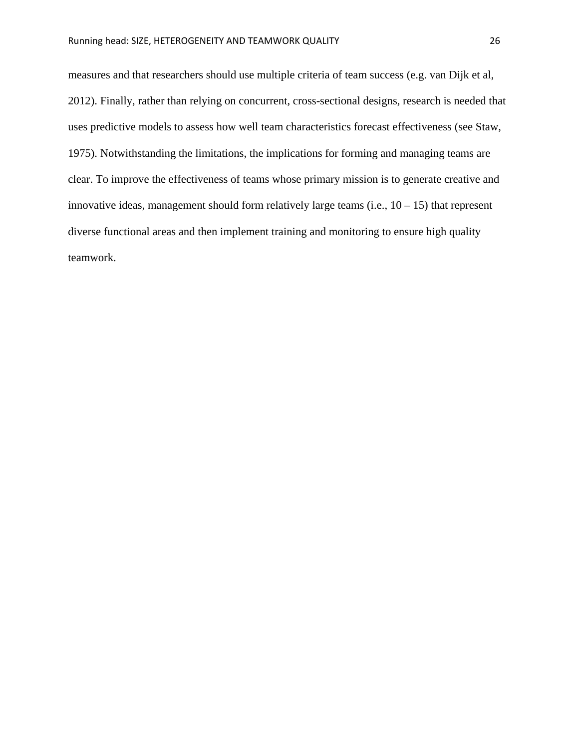measures and that researchers should use multiple criteria of team success (e.g. van Dijk et al, 2012). Finally, rather than relying on concurrent, cross-sectional designs, research is needed that uses predictive models to assess how well team characteristics forecast effectiveness (see Staw, 1975). Notwithstanding the limitations, the implications for forming and managing teams are clear. To improve the effectiveness of teams whose primary mission is to generate creative and innovative ideas, management should form relatively large teams (i.e.,  $10 - 15$ ) that represent diverse functional areas and then implement training and monitoring to ensure high quality teamwork.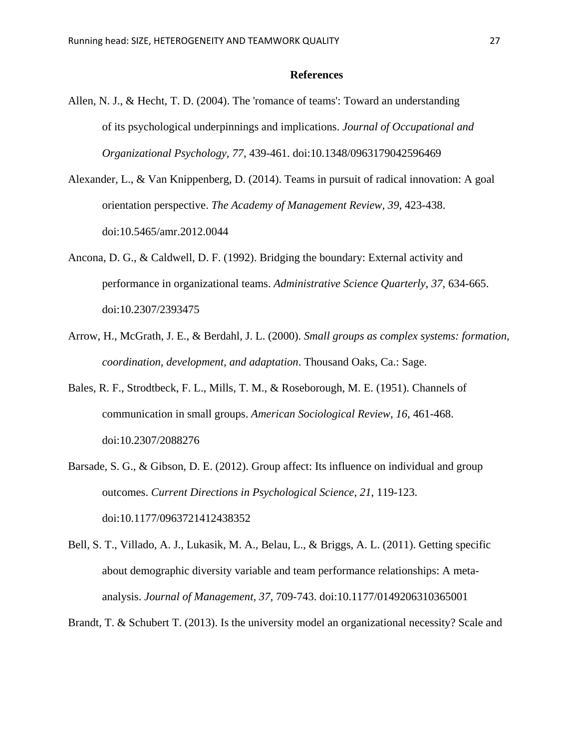#### **References**

- Allen, N. J., & Hecht, T. D. (2004). The 'romance of teams': Toward an understanding of its psychological underpinnings and implications. *Journal of Occupational and Organizational Psychology, 77*, 439-461. doi:10.1348/0963179042596469
- Alexander, L., & Van Knippenberg, D. (2014). Teams in pursuit of radical innovation: A goal orientation perspective. *The Academy of Management Review, 39*, 423-438. doi:10.5465/amr.2012.0044
- Ancona, D. G., & Caldwell, D. F. (1992). Bridging the boundary: External activity and performance in organizational teams. *Administrative Science Quarterly*, *37*, 634-665. doi:10.2307/2393475
- Arrow, H., McGrath, J. E., & Berdahl, J. L. (2000). *Small groups as complex systems: formation, coordination, development, and adaptation*. Thousand Oaks, Ca.: Sage.
- Bales, R. F., Strodtbeck, F. L., Mills, T. M., & Roseborough, M. E. (1951). Channels of communication in small groups. *American Sociological Review*, *16,* 461-468. doi:10.2307/2088276
- Barsade, S. G., & Gibson, D. E. (2012). Group affect: Its influence on individual and group outcomes. *Current Directions in Psychological Science*, *21*, 119-123. doi:10.1177/0963721412438352
- Bell, S. T., Villado, A. J., Lukasik, M. A., Belau, L., & Briggs, A. L. (2011). Getting specific about demographic diversity variable and team performance relationships: A metaanalysis. *Journal of Management, 37,* 709-743. doi:10.1177/0149206310365001
- Brandt, T. & Schubert T. (2013). Is the university model an organizational necessity? Scale and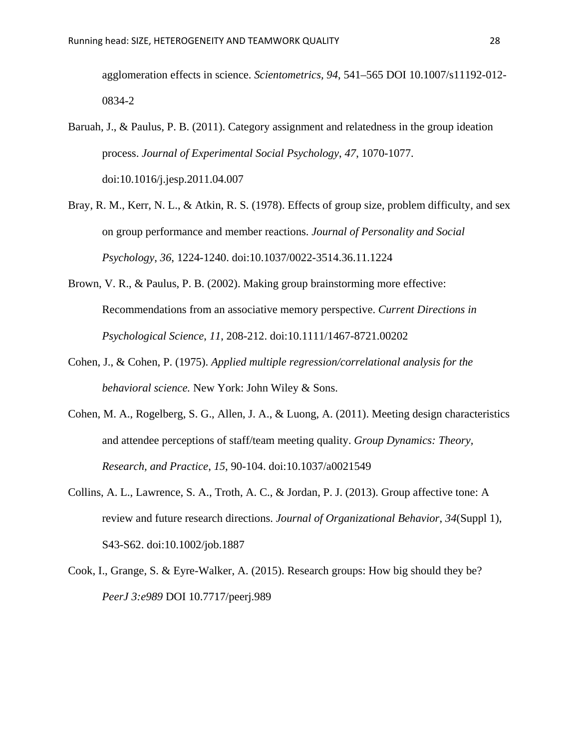agglomeration effects in science. *Scientometrics, 94*, 541–565 DOI 10.1007/s11192-012- 0834-2

- Baruah, J., & Paulus, P. B. (2011). Category assignment and relatedness in the group ideation process. *Journal of Experimental Social Psychology*, *47*, 1070-1077. doi:10.1016/j.jesp.2011.04.007
- Bray, R. M., Kerr, N. L., & Atkin, R. S. (1978). Effects of group size, problem difficulty, and sex on group performance and member reactions. *Journal of Personality and Social Psychology*, *36*, 1224-1240. doi:10.1037/0022-3514.36.11.1224
- Brown, V. R., & Paulus, P. B. (2002). Making group brainstorming more effective: Recommendations from an associative memory perspective. *Current Directions in Psychological Science*, *11*, 208-212. doi:10.1111/1467-8721.00202
- Cohen, J., & Cohen, P. (1975). *Applied multiple regression/correlational analysis for the behavioral science.* New York: John Wiley & Sons.
- Cohen, M. A., Rogelberg, S. G., Allen, J. A., & Luong, A. (2011). Meeting design characteristics and attendee perceptions of staff/team meeting quality. *Group Dynamics: Theory, Research, and Practice*, *15*, 90-104. doi:10.1037/a0021549
- Collins, A. L., Lawrence, S. A., Troth, A. C., & Jordan, P. J. (2013). Group affective tone: A review and future research directions. *Journal of Organizational Behavior*, *34*(Suppl 1), S43-S62. doi:10.1002/job.1887
- Cook, I., Grange, S. & Eyre-Walker, A. (2015). Research groups: How big should they be? *PeerJ 3:e989* DOI 10.7717/peerj.989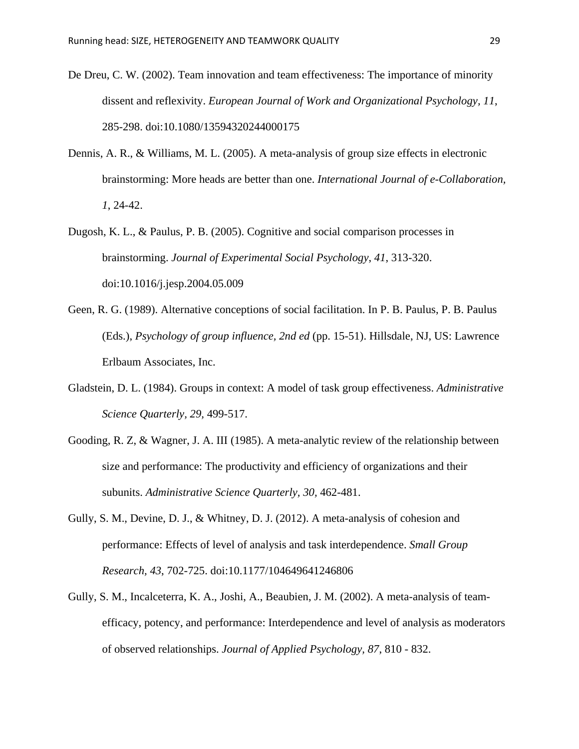- De Dreu, C. W. (2002). Team innovation and team effectiveness: The importance of minority dissent and reflexivity. *European Journal of Work and Organizational Psychology, 11*, 285-298. doi:10.1080/13594320244000175
- Dennis, A. R., & Williams, M. L. (2005). A meta-analysis of group size effects in electronic brainstorming: More heads are better than one. *International Journal of e-Collaboration, 1*, 24-42.
- Dugosh, K. L., & Paulus, P. B. (2005). Cognitive and social comparison processes in brainstorming. *Journal of Experimental Social Psychology*, *41*, 313-320. doi:10.1016/j.jesp.2004.05.009
- Geen, R. G. (1989). Alternative conceptions of social facilitation. In P. B. Paulus, P. B. Paulus (Eds.), *Psychology of group influence, 2nd ed* (pp. 15-51). Hillsdale, NJ, US: Lawrence Erlbaum Associates, Inc.
- Gladstein, D. L. (1984). Groups in context: A model of task group effectiveness. *Administrative Science Quarterly, 29,* 499-517.
- Gooding, R. Z, & Wagner, J. A. III (1985). A meta-analytic review of the relationship between size and performance: The productivity and efficiency of organizations and their subunits. *Administrative Science Quarterly, 30,* 462-481.
- Gully, S. M., Devine, D. J., & Whitney, D. J. (2012). A meta-analysis of cohesion and performance: Effects of level of analysis and task interdependence. *Small Group Research, 43*, 702-725. doi:10.1177/104649641246806
- Gully, S. M., Incalceterra, K. A., Joshi, A., Beaubien, J. M. (2002). A meta-analysis of teamefficacy, potency, and performance: Interdependence and level of analysis as moderators of observed relationships. *Journal of Applied Psychology, 87*, 810 - 832.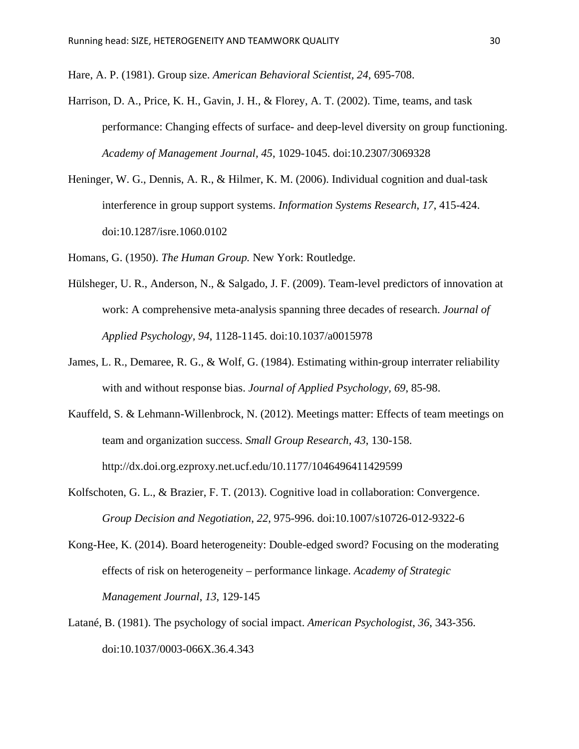Hare, A. P. (1981). Group size. *American Behavioral Scientist, 24,* 695-708.

- Harrison, D. A., Price, K. H., Gavin, J. H., & Florey, A. T. (2002). Time, teams, and task performance: Changing effects of surface- and deep-level diversity on group functioning. *Academy of Management Journal, 45*, 1029-1045. doi:10.2307/3069328
- Heninger, W. G., Dennis, A. R., & Hilmer, K. M. (2006). Individual cognition and dual-task interference in group support systems. *Information Systems Research*, *17*, 415-424. doi:10.1287/isre.1060.0102

Homans, G. (1950). *The Human Group.* New York: Routledge.

- Hülsheger, U. R., Anderson, N., & Salgado, J. F. (2009). Team-level predictors of innovation at work: A comprehensive meta-analysis spanning three decades of research. *Journal of Applied Psychology, 94*, 1128-1145. doi:10.1037/a0015978
- James, L. R., Demaree, R. G., & Wolf, G. (1984). Estimating within-group interrater reliability with and without response bias. *Journal of Applied Psychology, 69*, 85-98.
- Kauffeld, S. & Lehmann-Willenbrock, N. (2012). Meetings matter: Effects of team meetings on team and organization success. *Small Group Research, 43*, 130-158. <http://dx.doi.org.ezproxy.net.ucf.edu/10.1177/1046496411429599>
- Kolfschoten, G. L., & Brazier, F. T. (2013). Cognitive load in collaboration: Convergence. *Group Decision and Negotiation*, *22*, 975-996. doi:10.1007/s10726-012-9322-6
- Kong-Hee, K. (2014). Board heterogeneity: Double-edged sword? Focusing on the moderating effects of risk on heterogeneity – performance linkage. *Academy of Strategic Management Journal*, *13*, 129-145
- Latané, B. (1981). The psychology of social impact. *American Psychologist*, *36*, 343-356. doi:10.1037/0003-066X.36.4.343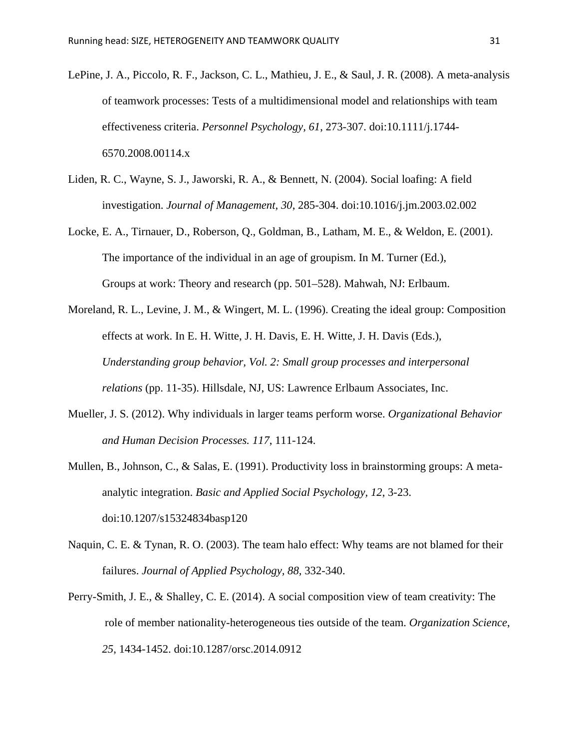- LePine, J. A., Piccolo, R. F., Jackson, C. L., Mathieu, J. E., & Saul, J. R. (2008). A meta-analysis of teamwork processes: Tests of a multidimensional model and relationships with team effectiveness criteria. *Personnel Psychology, 61*, 273-307. doi:10.1111/j.1744- 6570.2008.00114.x
- Liden, R. C., Wayne, S. J., Jaworski, R. A., & Bennett, N. (2004). Social loafing: A field investigation. *Journal of Management, 30*, 285-304. doi:10.1016/j.jm.2003.02.002
- Locke, E. A., Tirnauer, D., Roberson, Q., Goldman, B., Latham, M. E., & Weldon, E. (2001). The importance of the individual in an age of groupism. In M. Turner (Ed.), Groups at work: Theory and research (pp. 501–528). Mahwah, NJ: Erlbaum.
- Moreland, R. L., Levine, J. M., & Wingert, M. L. (1996). Creating the ideal group: Composition effects at work. In E. H. Witte, J. H. Davis, E. H. Witte, J. H. Davis (Eds.), *Understanding group behavior, Vol. 2: Small group processes and interpersonal relations* (pp. 11-35). Hillsdale, NJ, US: Lawrence Erlbaum Associates, Inc.
- Mueller, J. S. (2012). Why individuals in larger teams perform worse. *Organizational Behavior and Human Decision Processes. 117*, 111-124.
- Mullen, B., Johnson, C., & Salas, E. (1991). Productivity loss in brainstorming groups: A metaanalytic integration. *Basic and Applied Social Psychology, 12*, 3-23. doi:10.1207/s15324834basp120
- Naquin, C. E. & Tynan, R. O. (2003). The team halo effect: Why teams are not blamed for their failures. *Journal of Applied Psychology, 88,* 332-340.
- Perry-Smith, J. E., & Shalley, C. E. (2014). A social composition view of team creativity: The role of member nationality-heterogeneous ties outside of the team. *Organization Science*, *25*, 1434-1452. doi:10.1287/orsc.2014.0912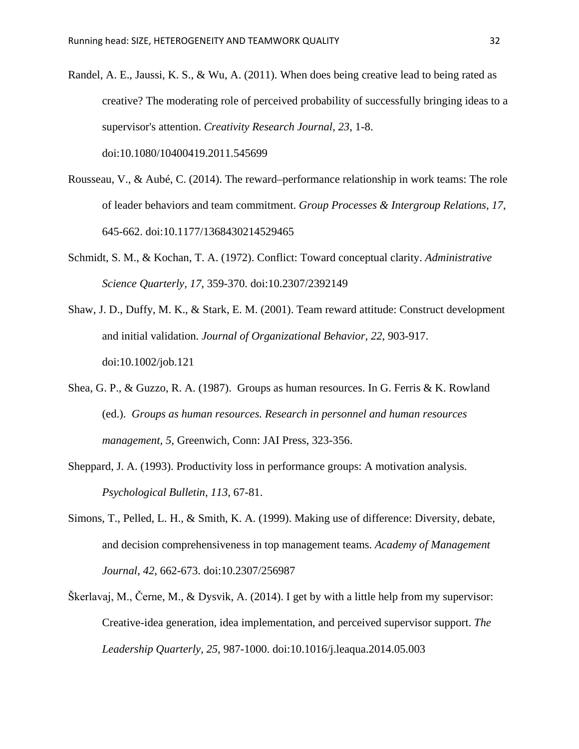- Randel, A. E., Jaussi, K. S., & Wu, A. (2011). When does being creative lead to being rated as creative? The moderating role of perceived probability of successfully bringing ideas to a supervisor's attention. *Creativity Research Journal, 23*, 1-8. doi:10.1080/10400419.2011.545699
- Rousseau, V., & Aubé, C. (2014). The reward–performance relationship in work teams: The role of leader behaviors and team commitment. *Group Processes & Intergroup Relations, 17*, 645-662. doi:10.1177/1368430214529465
- Schmidt, S. M., & Kochan, T. A. (1972). Conflict: Toward conceptual clarity. *Administrative Science Quarterly, 17*, 359-370. doi:10.2307/2392149
- Shaw, J. D., Duffy, M. K., & Stark, E. M. (2001). Team reward attitude: Construct development and initial validation. *Journal of Organizational Behavior, 22*, 903-917. doi:10.1002/job.121
- Shea, G. P., & Guzzo, R. A. (1987). Groups as human resources. In G. Ferris & K. Rowland (ed.). *Groups as human resources. Research in personnel and human resources management, 5*, Greenwich, Conn: JAI Press, 323-356.
- Sheppard, J. A. (1993). Productivity loss in performance groups: A motivation analysis. *Psychological Bulletin, 113,* 67-81.
- Simons, T., Pelled, L. H., & Smith, K. A. (1999). Making use of difference: Diversity, debate, and decision comprehensiveness in top management teams. *Academy of Management Journal*, *42*, 662-673. doi:10.2307/256987
- Škerlavaj, M., Černe, M., & Dysvik, A. (2014). I get by with a little help from my supervisor: Creative-idea generation, idea implementation, and perceived supervisor support. *The Leadership Quarterly, 25*, 987-1000. doi:10.1016/j.leaqua.2014.05.003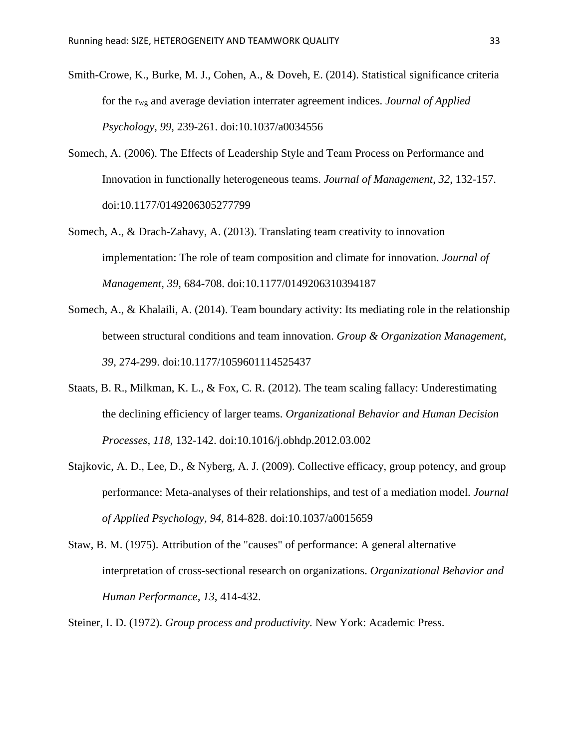- Smith-Crowe, K., Burke, M. J., Cohen, A., & Doveh, E. (2014). Statistical significance criteria for the rwg and average deviation interrater agreement indices. *Journal of Applied Psychology*, *99*, 239-261. doi:10.1037/a0034556
- Somech, A. (2006). The Effects of Leadership Style and Team Process on Performance and Innovation in functionally heterogeneous teams. *Journal of Management*, *32*, 132-157. doi:10.1177/0149206305277799
- Somech, A., & Drach-Zahavy, A. (2013). Translating team creativity to innovation implementation: The role of team composition and climate for innovation. *Journal of Management*, *39*, 684-708. doi:10.1177/0149206310394187
- Somech, A., & Khalaili, A. (2014). Team boundary activity: Its mediating role in the relationship between structural conditions and team innovation. *Group & Organization Management, 39*, 274-299. doi:10.1177/1059601114525437
- Staats, B. R., Milkman, K. L., & Fox, C. R. (2012). The team scaling fallacy: Underestimating the declining efficiency of larger teams. *Organizational Behavior and Human Decision Processes, 118*, 132-142. doi:10.1016/j.obhdp.2012.03.002
- Stajkovic, A. D., Lee, D., & Nyberg, A. J. (2009). Collective efficacy, group potency, and group performance: Meta-analyses of their relationships, and test of a mediation model. *Journal of Applied Psychology, 94*, 814-828. doi:10.1037/a0015659
- Staw, B. M. (1975). Attribution of the "causes" of performance: A general alternative interpretation of cross-sectional research on organizations. *Organizational Behavior and Human Performance, 13*, 414-432.
- Steiner, I. D. (1972). *Group process and productivity.* New York: Academic Press.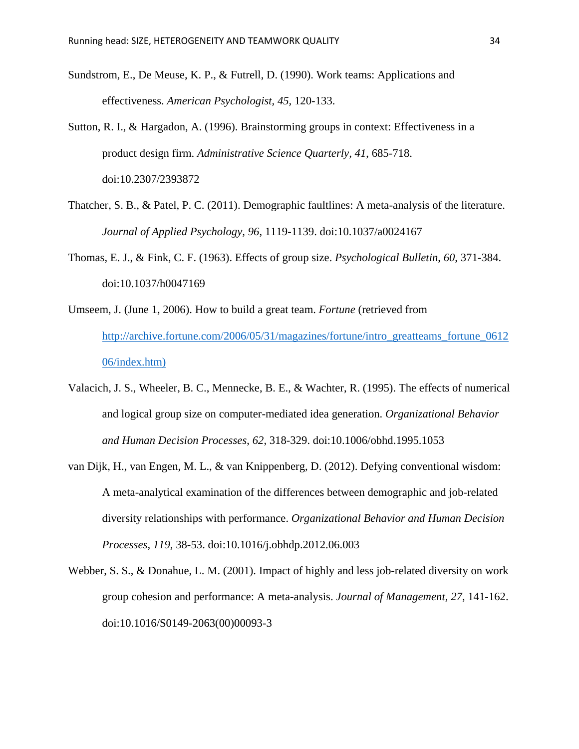- Sundstrom, E., De Meuse, K. P., & Futrell, D. (1990). Work teams: Applications and effectiveness. *American Psychologist, 45,* 120-133.
- Sutton, R. I., & Hargadon, A. (1996). Brainstorming groups in context: Effectiveness in a product design firm. *Administrative Science Quarterly, 41*, 685-718. doi:10.2307/2393872
- Thatcher, S. B., & Patel, P. C. (2011). Demographic faultlines: A meta-analysis of the literature. *Journal of Applied Psychology, 96*, 1119-1139. doi:10.1037/a0024167
- Thomas, E. J., & Fink, C. F. (1963). Effects of group size. *Psychological Bulletin*, *60*, 371-384. doi:10.1037/h0047169
- Umseem, J. (June 1, 2006). How to build a great team. *Fortune* (retrieved from [http://archive.fortune.com/2006/05/31/magazines/fortune/intro\\_greatteams\\_fortune\\_0612](http://archive.fortune.com/2006/05/31/magazines/fortune/intro_greatteams_fortune_061206/index.htm) [06/index.htm\)](http://archive.fortune.com/2006/05/31/magazines/fortune/intro_greatteams_fortune_061206/index.htm)
- Valacich, J. S., Wheeler, B. C., Mennecke, B. E., & Wachter, R. (1995). The effects of numerical and logical group size on computer-mediated idea generation. *Organizational Behavior and Human Decision Processes*, *62*, 318-329. doi:10.1006/obhd.1995.1053
- van Dijk, H., van Engen, M. L., & van Knippenberg, D. (2012). Defying conventional wisdom: A meta-analytical examination of the differences between demographic and job-related diversity relationships with performance. *Organizational Behavior and Human Decision Processes, 119*, 38-53. doi:10.1016/j.obhdp.2012.06.003
- Webber, S. S., & Donahue, L. M. (2001). Impact of highly and less job-related diversity on work group cohesion and performance: A meta-analysis. *Journal of Management, 27*, 141-162. doi:10.1016/S0149-2063(00)00093-3